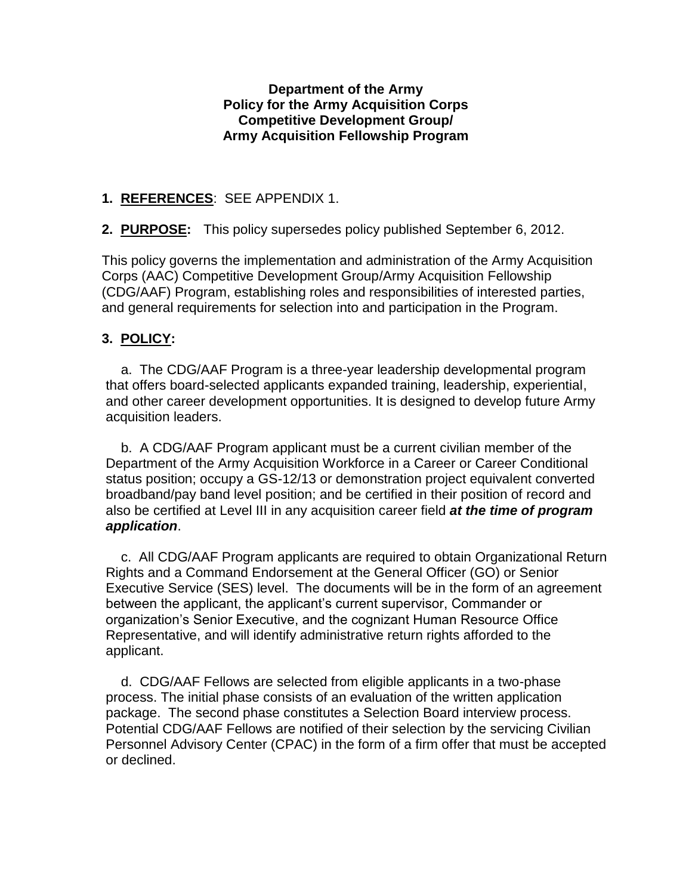### **Department of the Army Policy for the Army Acquisition Corps Competitive Development Group/ Army Acquisition Fellowship Program**

# **1. REFERENCES**: SEE APPENDIX 1.

**2. PURPOSE:** This policy supersedes policy published September 6, 2012.

This policy governs the implementation and administration of the Army Acquisition Corps (AAC) Competitive Development Group/Army Acquisition Fellowship (CDG/AAF) Program, establishing roles and responsibilities of interested parties, and general requirements for selection into and participation in the Program.

# **3. POLICY:**

 a. The CDG/AAF Program is a three-year leadership developmental program that offers board-selected applicants expanded training, leadership, experiential, and other career development opportunities. It is designed to develop future Army acquisition leaders.

 b. A CDG/AAF Program applicant must be a current civilian member of the Department of the Army Acquisition Workforce in a Career or Career Conditional status position; occupy a GS-12/13 or demonstration project equivalent converted broadband/pay band level position; and be certified in their position of record and also be certified at Level III in any acquisition career field *at the time of program application*.

 c. All CDG/AAF Program applicants are required to obtain Organizational Return Rights and a Command Endorsement at the General Officer (GO) or Senior Executive Service (SES) level. The documents will be in the form of an agreement between the applicant, the applicant's current supervisor, Commander or organization's Senior Executive, and the cognizant Human Resource Office Representative, and will identify administrative return rights afforded to the applicant.

 d. CDG/AAF Fellows are selected from eligible applicants in a two-phase process. The initial phase consists of an evaluation of the written application package. The second phase constitutes a Selection Board interview process. Potential CDG/AAF Fellows are notified of their selection by the servicing Civilian Personnel Advisory Center (CPAC) in the form of a firm offer that must be accepted or declined.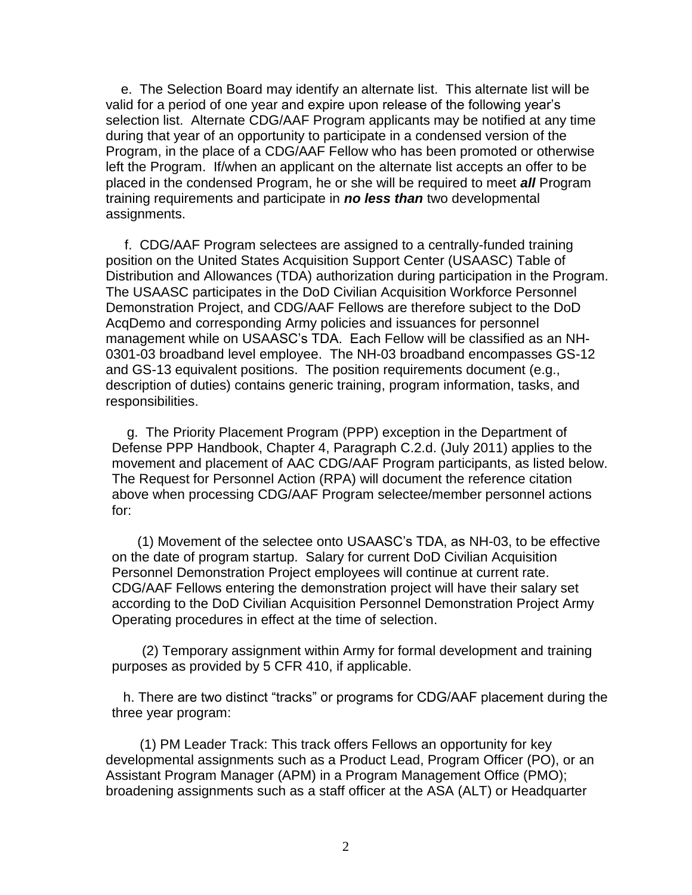e. The Selection Board may identify an alternate list. This alternate list will be valid for a period of one year and expire upon release of the following year's selection list. Alternate CDG/AAF Program applicants may be notified at any time during that year of an opportunity to participate in a condensed version of the Program, in the place of a CDG/AAF Fellow who has been promoted or otherwise left the Program. If/when an applicant on the alternate list accepts an offer to be placed in the condensed Program, he or she will be required to meet *all* Program training requirements and participate in *no less than* two developmental assignments.

 f. CDG/AAF Program selectees are assigned to a centrally-funded training position on the United States Acquisition Support Center (USAASC) Table of Distribution and Allowances (TDA) authorization during participation in the Program. The USAASC participates in the DoD Civilian Acquisition Workforce Personnel Demonstration Project, and CDG/AAF Fellows are therefore subject to the DoD AcqDemo and corresponding Army policies and issuances for personnel management while on USAASC's TDA. Each Fellow will be classified as an NH-0301-03 broadband level employee. The NH-03 broadband encompasses GS-12 and GS-13 equivalent positions. The position requirements document (e.g., description of duties) contains generic training, program information, tasks, and responsibilities.

 g. The Priority Placement Program (PPP) exception in the Department of Defense PPP Handbook, Chapter 4, Paragraph C.2.d. (July 2011) applies to the movement and placement of AAC CDG/AAF Program participants, as listed below. The Request for Personnel Action (RPA) will document the reference citation above when processing CDG/AAF Program selectee/member personnel actions for:

 (1) Movement of the selectee onto USAASC's TDA, as NH-03, to be effective on the date of program startup. Salary for current DoD Civilian Acquisition Personnel Demonstration Project employees will continue at current rate. CDG/AAF Fellows entering the demonstration project will have their salary set according to the DoD Civilian Acquisition Personnel Demonstration Project Army Operating procedures in effect at the time of selection.

 (2) Temporary assignment within Army for formal development and training purposes as provided by 5 CFR 410, if applicable.

 h. There are two distinct "tracks" or programs for CDG/AAF placement during the three year program:

 (1) PM Leader Track: This track offers Fellows an opportunity for key developmental assignments such as a Product Lead, Program Officer (PO), or an Assistant Program Manager (APM) in a Program Management Office (PMO); broadening assignments such as a staff officer at the ASA (ALT) or Headquarter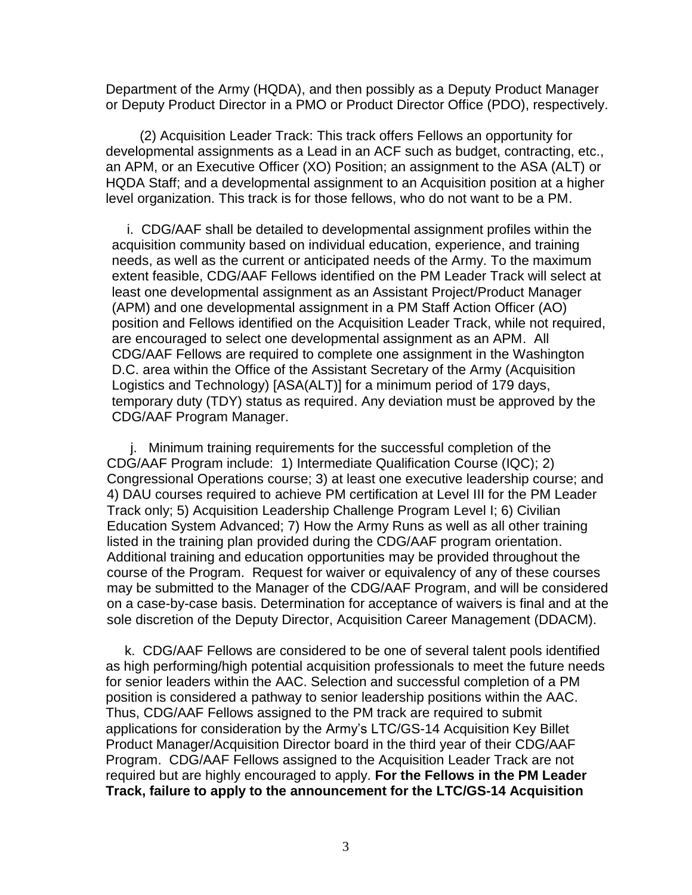Department of the Army (HQDA), and then possibly as a Deputy Product Manager or Deputy Product Director in a PMO or Product Director Office (PDO), respectively.

 (2) Acquisition Leader Track: This track offers Fellows an opportunity for developmental assignments as a Lead in an ACF such as budget, contracting, etc., an APM, or an Executive Officer (XO) Position; an assignment to the ASA (ALT) or HQDA Staff; and a developmental assignment to an Acquisition position at a higher level organization. This track is for those fellows, who do not want to be a PM.

 i. CDG/AAF shall be detailed to developmental assignment profiles within the acquisition community based on individual education, experience, and training needs, as well as the current or anticipated needs of the Army. To the maximum extent feasible, CDG/AAF Fellows identified on the PM Leader Track will select at least one developmental assignment as an Assistant Project/Product Manager (APM) and one developmental assignment in a PM Staff Action Officer (AO) position and Fellows identified on the Acquisition Leader Track, while not required, are encouraged to select one developmental assignment as an APM. All CDG/AAF Fellows are required to complete one assignment in the Washington D.C. area within the Office of the Assistant Secretary of the Army (Acquisition Logistics and Technology) [ASA(ALT)] for a minimum period of 179 days, temporary duty (TDY) status as required. Any deviation must be approved by the CDG/AAF Program Manager.

 j. Minimum training requirements for the successful completion of the CDG/AAF Program include: 1) Intermediate Qualification Course (IQC); 2) Congressional Operations course; 3) at least one executive leadership course; and 4) DAU courses required to achieve PM certification at Level III for the PM Leader Track only; 5) Acquisition Leadership Challenge Program Level I; 6) Civilian Education System Advanced; 7) How the Army Runs as well as all other training listed in the training plan provided during the CDG/AAF program orientation. Additional training and education opportunities may be provided throughout the course of the Program. Request for waiver or equivalency of any of these courses may be submitted to the Manager of the CDG/AAF Program, and will be considered on a case-by-case basis. Determination for acceptance of waivers is final and at the sole discretion of the Deputy Director, Acquisition Career Management (DDACM).

 k. CDG/AAF Fellows are considered to be one of several talent pools identified as high performing/high potential acquisition professionals to meet the future needs for senior leaders within the AAC. Selection and successful completion of a PM position is considered a pathway to senior leadership positions within the AAC. Thus, CDG/AAF Fellows assigned to the PM track are required to submit applications for consideration by the Army's LTC/GS-14 Acquisition Key Billet Product Manager/Acquisition Director board in the third year of their CDG/AAF Program. CDG/AAF Fellows assigned to the Acquisition Leader Track are not required but are highly encouraged to apply. **For the Fellows in the PM Leader Track, failure to apply to the announcement for the LTC/GS-14 Acquisition**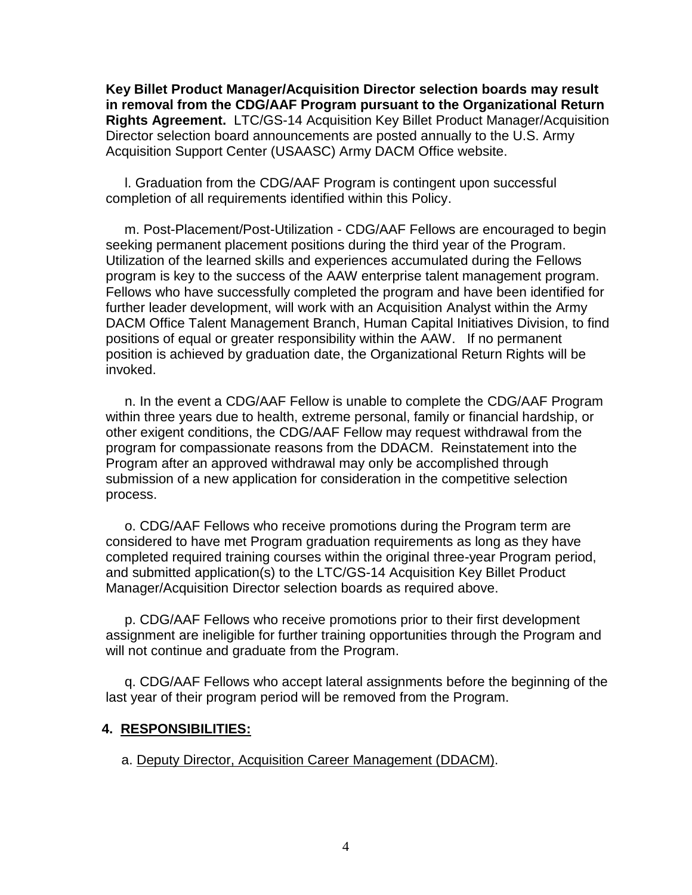**Key Billet Product Manager/Acquisition Director selection boards may result in removal from the CDG/AAF Program pursuant to the Organizational Return Rights Agreement.** LTC/GS-14 Acquisition Key Billet Product Manager/Acquisition Director selection board announcements are posted annually to the U.S. Army Acquisition Support Center (USAASC) Army DACM Office website.

 l. Graduation from the CDG/AAF Program is contingent upon successful completion of all requirements identified within this Policy.

 m. Post-Placement/Post-Utilization - CDG/AAF Fellows are encouraged to begin seeking permanent placement positions during the third year of the Program. Utilization of the learned skills and experiences accumulated during the Fellows program is key to the success of the AAW enterprise talent management program. Fellows who have successfully completed the program and have been identified for further leader development, will work with an Acquisition Analyst within the Army DACM Office Talent Management Branch, Human Capital Initiatives Division, to find positions of equal or greater responsibility within the AAW. If no permanent position is achieved by graduation date, the Organizational Return Rights will be invoked.

 n. In the event a CDG/AAF Fellow is unable to complete the CDG/AAF Program within three years due to health, extreme personal, family or financial hardship, or other exigent conditions, the CDG/AAF Fellow may request withdrawal from the program for compassionate reasons from the DDACM. Reinstatement into the Program after an approved withdrawal may only be accomplished through submission of a new application for consideration in the competitive selection process.

 o. CDG/AAF Fellows who receive promotions during the Program term are considered to have met Program graduation requirements as long as they have completed required training courses within the original three-year Program period, and submitted application(s) to the LTC/GS-14 Acquisition Key Billet Product Manager/Acquisition Director selection boards as required above.

 p. CDG/AAF Fellows who receive promotions prior to their first development assignment are ineligible for further training opportunities through the Program and will not continue and graduate from the Program.

 q. CDG/AAF Fellows who accept lateral assignments before the beginning of the last year of their program period will be removed from the Program.

### **4. RESPONSIBILITIES:**

a. Deputy Director, Acquisition Career Management (DDACM).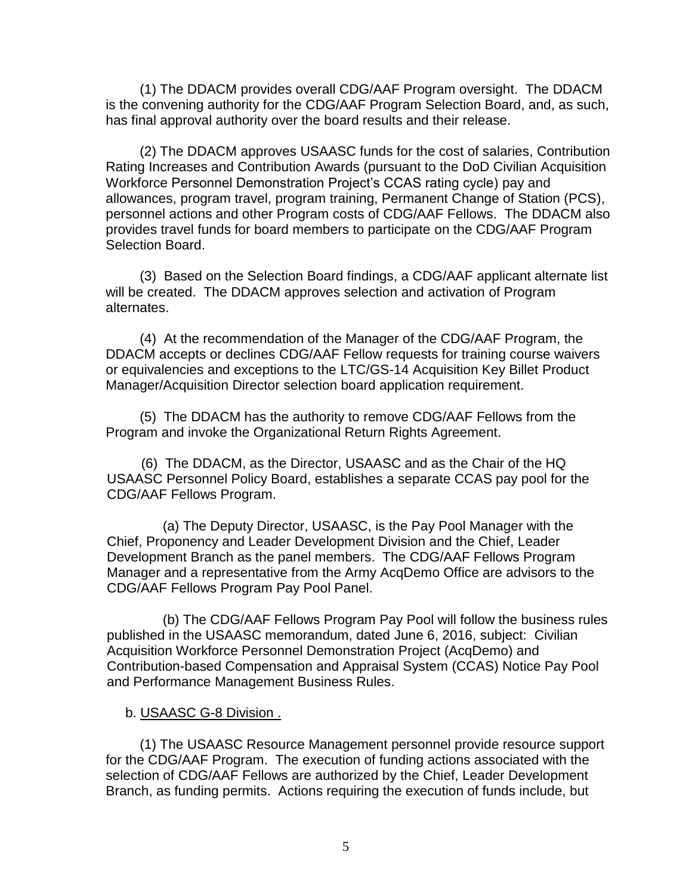(1) The DDACM provides overall CDG/AAF Program oversight. The DDACM is the convening authority for the CDG/AAF Program Selection Board, and, as such, has final approval authority over the board results and their release.

 (2) The DDACM approves USAASC funds for the cost of salaries, Contribution Rating Increases and Contribution Awards (pursuant to the DoD Civilian Acquisition Workforce Personnel Demonstration Project's CCAS rating cycle) pay and allowances, program travel, program training, Permanent Change of Station (PCS), personnel actions and other Program costs of CDG/AAF Fellows. The DDACM also provides travel funds for board members to participate on the CDG/AAF Program Selection Board.

 (3) Based on the Selection Board findings, a CDG/AAF applicant alternate list will be created. The DDACM approves selection and activation of Program alternates.

 (4) At the recommendation of the Manager of the CDG/AAF Program, the DDACM accepts or declines CDG/AAF Fellow requests for training course waivers or equivalencies and exceptions to the LTC/GS-14 Acquisition Key Billet Product Manager/Acquisition Director selection board application requirement.

 (5) The DDACM has the authority to remove CDG/AAF Fellows from the Program and invoke the Organizational Return Rights Agreement.

(6) The DDACM, as the Director, USAASC and as the Chair of the HQ USAASC Personnel Policy Board, establishes a separate CCAS pay pool for the CDG/AAF Fellows Program.

(a) The Deputy Director, USAASC, is the Pay Pool Manager with the Chief, Proponency and Leader Development Division and the Chief, Leader Development Branch as the panel members. The CDG/AAF Fellows Program Manager and a representative from the Army AcqDemo Office are advisors to the CDG/AAF Fellows Program Pay Pool Panel.

(b) The CDG/AAF Fellows Program Pay Pool will follow the business rules published in the USAASC memorandum, dated June 6, 2016, subject: Civilian Acquisition Workforce Personnel Demonstration Project (AcqDemo) and Contribution-based Compensation and Appraisal System (CCAS) Notice Pay Pool and Performance Management Business Rules.

### b. USAASC G-8 Division .

 (1) The USAASC Resource Management personnel provide resource support for the CDG/AAF Program. The execution of funding actions associated with the selection of CDG/AAF Fellows are authorized by the Chief, Leader Development Branch, as funding permits. Actions requiring the execution of funds include, but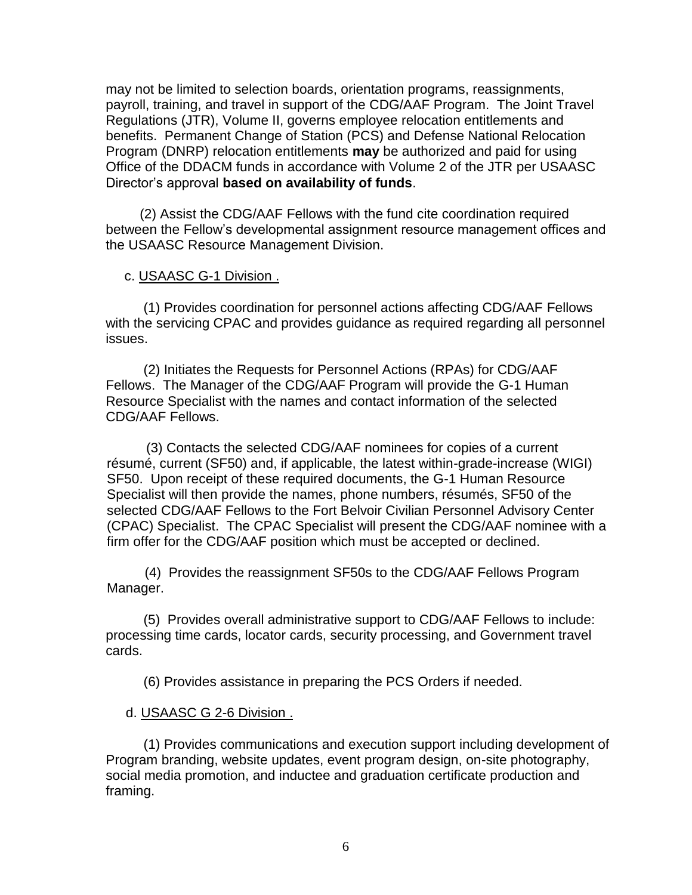may not be limited to selection boards, orientation programs, reassignments, payroll, training, and travel in support of the CDG/AAF Program. The Joint Travel Regulations (JTR), Volume II, governs employee relocation entitlements and benefits. Permanent Change of Station (PCS) and Defense National Relocation Program (DNRP) relocation entitlements **may** be authorized and paid for using Office of the DDACM funds in accordance with Volume 2 of the JTR per USAASC Director's approval **based on availability of funds**.

 (2) Assist the CDG/AAF Fellows with the fund cite coordination required between the Fellow's developmental assignment resource management offices and the USAASC Resource Management Division.

#### c. USAASC G-1 Division .

 (1) Provides coordination for personnel actions affecting CDG/AAF Fellows with the servicing CPAC and provides guidance as required regarding all personnel issues.

 (2) Initiates the Requests for Personnel Actions (RPAs) for CDG/AAF Fellows. The Manager of the CDG/AAF Program will provide the G-1 Human Resource Specialist with the names and contact information of the selected CDG/AAF Fellows.

(3) Contacts the selected CDG/AAF nominees for copies of a current résumé, current (SF50) and, if applicable, the latest within-grade-increase (WIGI) SF50. Upon receipt of these required documents, the G-1 Human Resource Specialist will then provide the names, phone numbers, résumés, SF50 of the selected CDG/AAF Fellows to the Fort Belvoir Civilian Personnel Advisory Center (CPAC) Specialist. The CPAC Specialist will present the CDG/AAF nominee with a firm offer for the CDG/AAF position which must be accepted or declined.

 (4) Provides the reassignment SF50s to the CDG/AAF Fellows Program Manager.

 (5) Provides overall administrative support to CDG/AAF Fellows to include: processing time cards, locator cards, security processing, and Government travel cards.

(6) Provides assistance in preparing the PCS Orders if needed.

#### d. USAASC G 2-6 Division .

 (1) Provides communications and execution support including development of Program branding, website updates, event program design, on-site photography, social media promotion, and inductee and graduation certificate production and framing.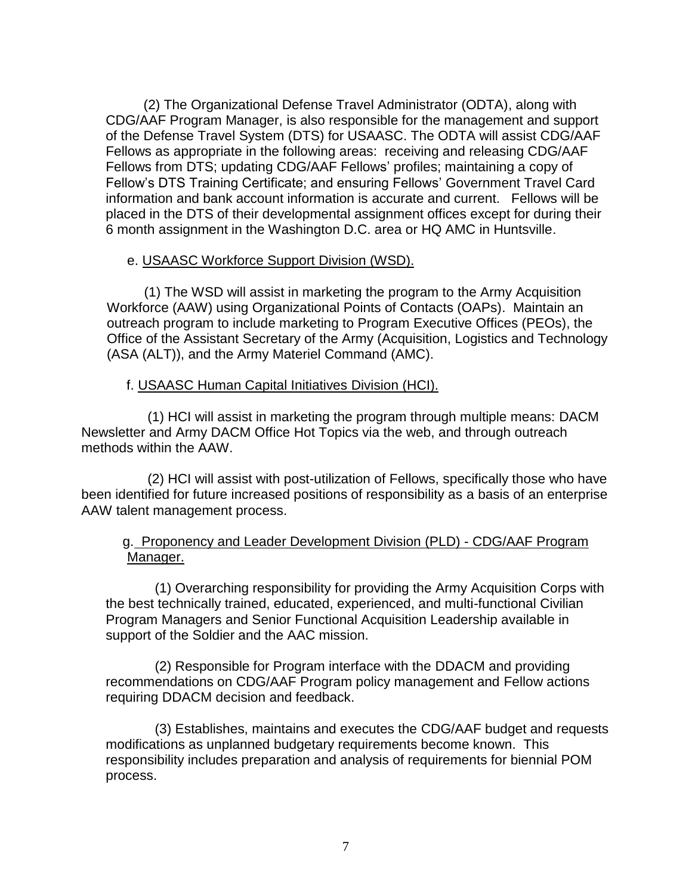(2) The Organizational Defense Travel Administrator (ODTA), along with CDG/AAF Program Manager, is also responsible for the management and support of the Defense Travel System (DTS) for USAASC. The ODTA will assist CDG/AAF Fellows as appropriate in the following areas: receiving and releasing CDG/AAF Fellows from DTS; updating CDG/AAF Fellows' profiles; maintaining a copy of Fellow's DTS Training Certificate; and ensuring Fellows' Government Travel Card information and bank account information is accurate and current. Fellows will be placed in the DTS of their developmental assignment offices except for during their 6 month assignment in the Washington D.C. area or HQ AMC in Huntsville.

### e. USAASC Workforce Support Division (WSD).

 (1) The WSD will assist in marketing the program to the Army Acquisition Workforce (AAW) using Organizational Points of Contacts (OAPs). Maintain an outreach program to include marketing to Program Executive Offices (PEOs), the Office of the Assistant Secretary of the Army (Acquisition, Logistics and Technology (ASA (ALT)), and the Army Materiel Command (AMC).

# f. USAASC Human Capital Initiatives Division (HCI).

(1) HCI will assist in marketing the program through multiple means: DACM Newsletter and Army DACM Office Hot Topics via the web, and through outreach methods within the AAW.

(2) HCI will assist with post-utilization of Fellows, specifically those who have been identified for future increased positions of responsibility as a basis of an enterprise AAW talent management process.

# g. Proponency and Leader Development Division (PLD) - CDG/AAF Program Manager.

 (1) Overarching responsibility for providing the Army Acquisition Corps with the best technically trained, educated, experienced, and multi-functional Civilian Program Managers and Senior Functional Acquisition Leadership available in support of the Soldier and the AAC mission.

 (2) Responsible for Program interface with the DDACM and providing recommendations on CDG/AAF Program policy management and Fellow actions requiring DDACM decision and feedback.

 (3) Establishes, maintains and executes the CDG/AAF budget and requests modifications as unplanned budgetary requirements become known. This responsibility includes preparation and analysis of requirements for biennial POM process.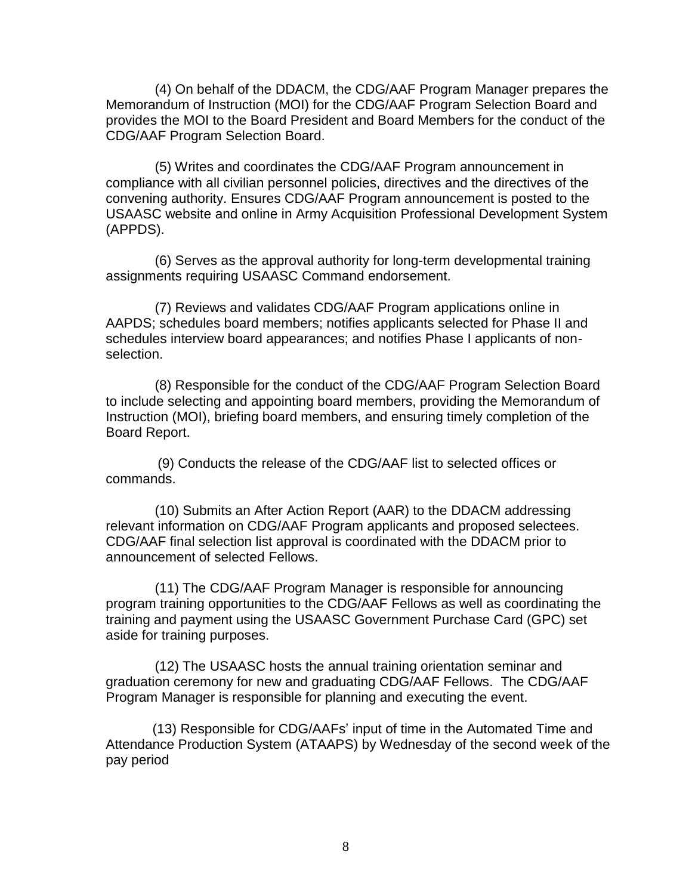(4) On behalf of the DDACM, the CDG/AAF Program Manager prepares the Memorandum of Instruction (MOI) for the CDG/AAF Program Selection Board and provides the MOI to the Board President and Board Members for the conduct of the CDG/AAF Program Selection Board.

 (5) Writes and coordinates the CDG/AAF Program announcement in compliance with all civilian personnel policies, directives and the directives of the convening authority. Ensures CDG/AAF Program announcement is posted to the USAASC website and online in Army Acquisition Professional Development System (APPDS).

 (6) Serves as the approval authority for long-term developmental training assignments requiring USAASC Command endorsement.

 (7) Reviews and validates CDG/AAF Program applications online in AAPDS; schedules board members; notifies applicants selected for Phase II and schedules interview board appearances; and notifies Phase I applicants of nonselection.

 (8) Responsible for the conduct of the CDG/AAF Program Selection Board to include selecting and appointing board members, providing the Memorandum of Instruction (MOI), briefing board members, and ensuring timely completion of the Board Report.

(9) Conducts the release of the CDG/AAF list to selected offices or commands.

 (10) Submits an After Action Report (AAR) to the DDACM addressing relevant information on CDG/AAF Program applicants and proposed selectees. CDG/AAF final selection list approval is coordinated with the DDACM prior to announcement of selected Fellows.

 (11) The CDG/AAF Program Manager is responsible for announcing program training opportunities to the CDG/AAF Fellows as well as coordinating the training and payment using the USAASC Government Purchase Card (GPC) set aside for training purposes.

 (12) The USAASC hosts the annual training orientation seminar and graduation ceremony for new and graduating CDG/AAF Fellows. The CDG/AAF Program Manager is responsible for planning and executing the event.

(13) Responsible for CDG/AAFs' input of time in the Automated Time and Attendance Production System (ATAAPS) by Wednesday of the second week of the pay period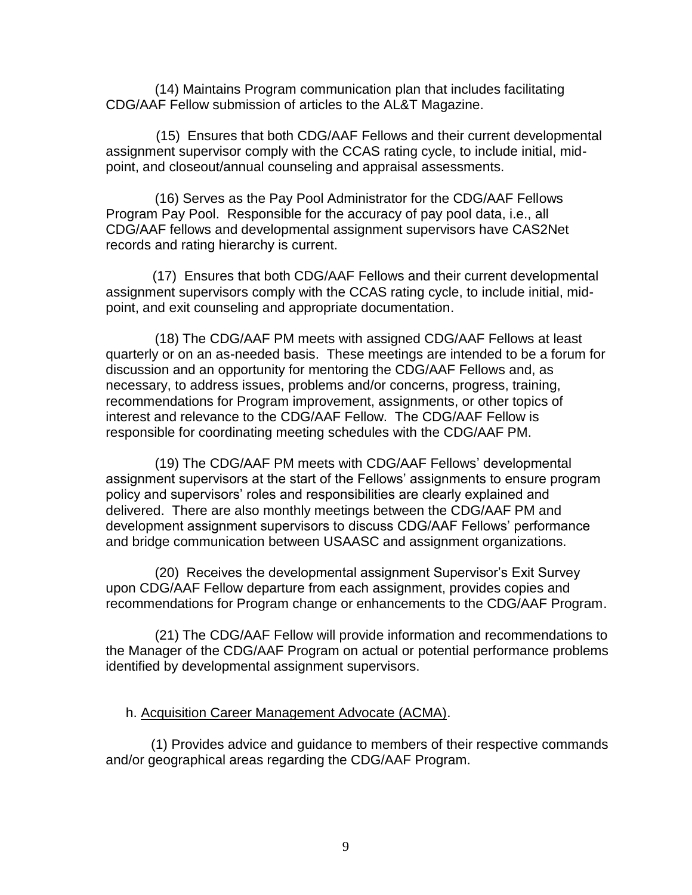(14) Maintains Program communication plan that includes facilitating CDG/AAF Fellow submission of articles to the AL&T Magazine.

 (15) Ensures that both CDG/AAF Fellows and their current developmental assignment supervisor comply with the CCAS rating cycle, to include initial, midpoint, and closeout/annual counseling and appraisal assessments.

 (16) Serves as the Pay Pool Administrator for the CDG/AAF Fellows Program Pay Pool. Responsible for the accuracy of pay pool data, i.e., all CDG/AAF fellows and developmental assignment supervisors have CAS2Net records and rating hierarchy is current.

(17) Ensures that both CDG/AAF Fellows and their current developmental assignment supervisors comply with the CCAS rating cycle, to include initial, midpoint, and exit counseling and appropriate documentation.

 (18) The CDG/AAF PM meets with assigned CDG/AAF Fellows at least quarterly or on an as-needed basis. These meetings are intended to be a forum for discussion and an opportunity for mentoring the CDG/AAF Fellows and, as necessary, to address issues, problems and/or concerns, progress, training, recommendations for Program improvement, assignments, or other topics of interest and relevance to the CDG/AAF Fellow. The CDG/AAF Fellow is responsible for coordinating meeting schedules with the CDG/AAF PM.

 (19) The CDG/AAF PM meets with CDG/AAF Fellows' developmental assignment supervisors at the start of the Fellows' assignments to ensure program policy and supervisors' roles and responsibilities are clearly explained and delivered. There are also monthly meetings between the CDG/AAF PM and development assignment supervisors to discuss CDG/AAF Fellows' performance and bridge communication between USAASC and assignment organizations.

 (20) Receives the developmental assignment Supervisor's Exit Survey upon CDG/AAF Fellow departure from each assignment, provides copies and recommendations for Program change or enhancements to the CDG/AAF Program.

 (21) The CDG/AAF Fellow will provide information and recommendations to the Manager of the CDG/AAF Program on actual or potential performance problems identified by developmental assignment supervisors.

### h. Acquisition Career Management Advocate (ACMA).

 (1) Provides advice and guidance to members of their respective commands and/or geographical areas regarding the CDG/AAF Program.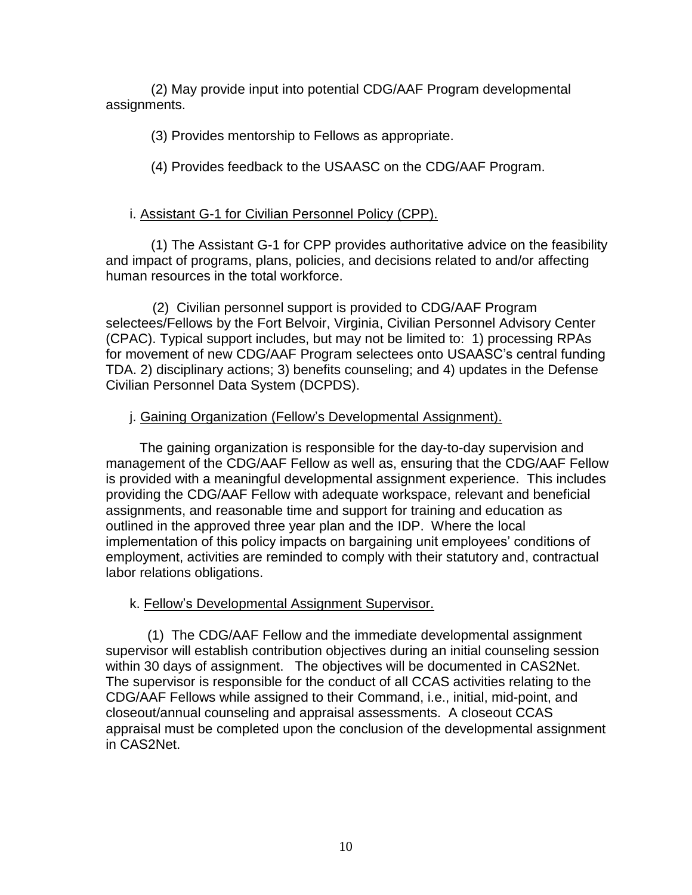(2) May provide input into potential CDG/AAF Program developmental assignments.

(3) Provides mentorship to Fellows as appropriate.

(4) Provides feedback to the USAASC on the CDG/AAF Program.

# i. Assistant G-1 for Civilian Personnel Policy (CPP).

 (1) The Assistant G-1 for CPP provides authoritative advice on the feasibility and impact of programs, plans, policies, and decisions related to and/or affecting human resources in the total workforce.

 (2) Civilian personnel support is provided to CDG/AAF Program selectees/Fellows by the Fort Belvoir, Virginia, Civilian Personnel Advisory Center (CPAC). Typical support includes, but may not be limited to: 1) processing RPAs for movement of new CDG/AAF Program selectees onto USAASC's central funding TDA. 2) disciplinary actions; 3) benefits counseling; and 4) updates in the Defense Civilian Personnel Data System (DCPDS).

# j. Gaining Organization (Fellow's Developmental Assignment).

 The gaining organization is responsible for the day-to-day supervision and management of the CDG/AAF Fellow as well as, ensuring that the CDG/AAF Fellow is provided with a meaningful developmental assignment experience. This includes providing the CDG/AAF Fellow with adequate workspace, relevant and beneficial assignments, and reasonable time and support for training and education as outlined in the approved three year plan and the IDP. Where the local implementation of this policy impacts on bargaining unit employees' conditions of employment, activities are reminded to comply with their statutory and, contractual labor relations obligations.

### k. Fellow's Developmental Assignment Supervisor.

 (1) The CDG/AAF Fellow and the immediate developmental assignment supervisor will establish contribution objectives during an initial counseling session within 30 days of assignment. The objectives will be documented in CAS2Net. The supervisor is responsible for the conduct of all CCAS activities relating to the CDG/AAF Fellows while assigned to their Command, i.e., initial, mid-point, and closeout/annual counseling and appraisal assessments. A closeout CCAS appraisal must be completed upon the conclusion of the developmental assignment in CAS2Net.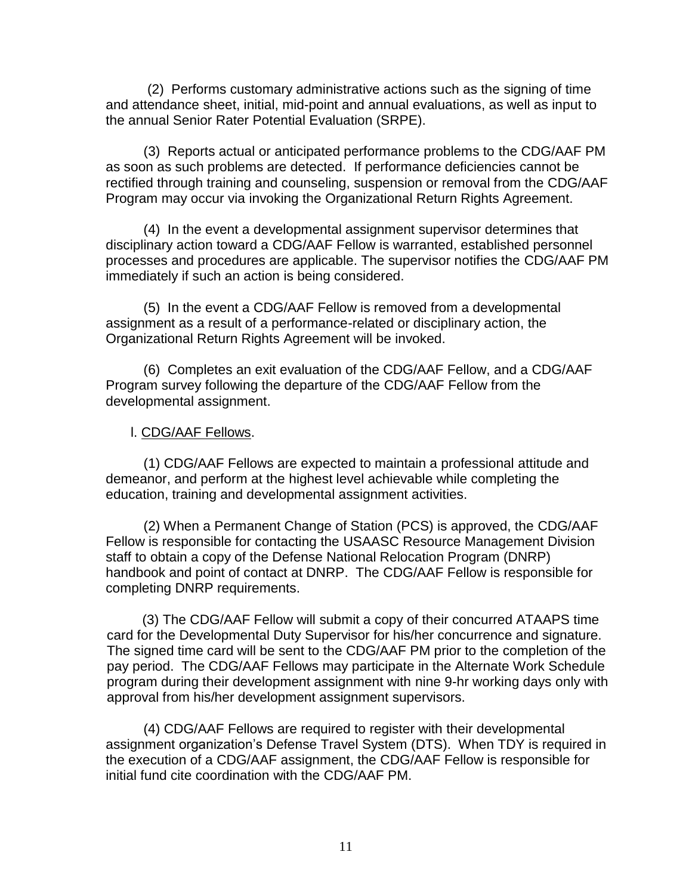(2) Performs customary administrative actions such as the signing of time and attendance sheet, initial, mid-point and annual evaluations, as well as input to the annual Senior Rater Potential Evaluation (SRPE).

 (3) Reports actual or anticipated performance problems to the CDG/AAF PM as soon as such problems are detected. If performance deficiencies cannot be rectified through training and counseling, suspension or removal from the CDG/AAF Program may occur via invoking the Organizational Return Rights Agreement.

 (4) In the event a developmental assignment supervisor determines that disciplinary action toward a CDG/AAF Fellow is warranted, established personnel processes and procedures are applicable. The supervisor notifies the CDG/AAF PM immediately if such an action is being considered.

 (5) In the event a CDG/AAF Fellow is removed from a developmental assignment as a result of a performance-related or disciplinary action, the Organizational Return Rights Agreement will be invoked.

 (6) Completes an exit evaluation of the CDG/AAF Fellow, and a CDG/AAF Program survey following the departure of the CDG/AAF Fellow from the developmental assignment.

### l. CDG/AAF Fellows.

 (1) CDG/AAF Fellows are expected to maintain a professional attitude and demeanor, and perform at the highest level achievable while completing the education, training and developmental assignment activities.

 (2) When a Permanent Change of Station (PCS) is approved, the CDG/AAF Fellow is responsible for contacting the USAASC Resource Management Division staff to obtain a copy of the Defense National Relocation Program (DNRP) handbook and point of contact at DNRP. The CDG/AAF Fellow is responsible for completing DNRP requirements.

(3) The CDG/AAF Fellow will submit a copy of their concurred ATAAPS time card for the Developmental Duty Supervisor for his/her concurrence and signature. The signed time card will be sent to the CDG/AAF PM prior to the completion of the pay period. The CDG/AAF Fellows may participate in the Alternate Work Schedule program during their development assignment with nine 9-hr working days only with approval from his/her development assignment supervisors.

 (4) CDG/AAF Fellows are required to register with their developmental assignment organization's Defense Travel System (DTS). When TDY is required in the execution of a CDG/AAF assignment, the CDG/AAF Fellow is responsible for initial fund cite coordination with the CDG/AAF PM.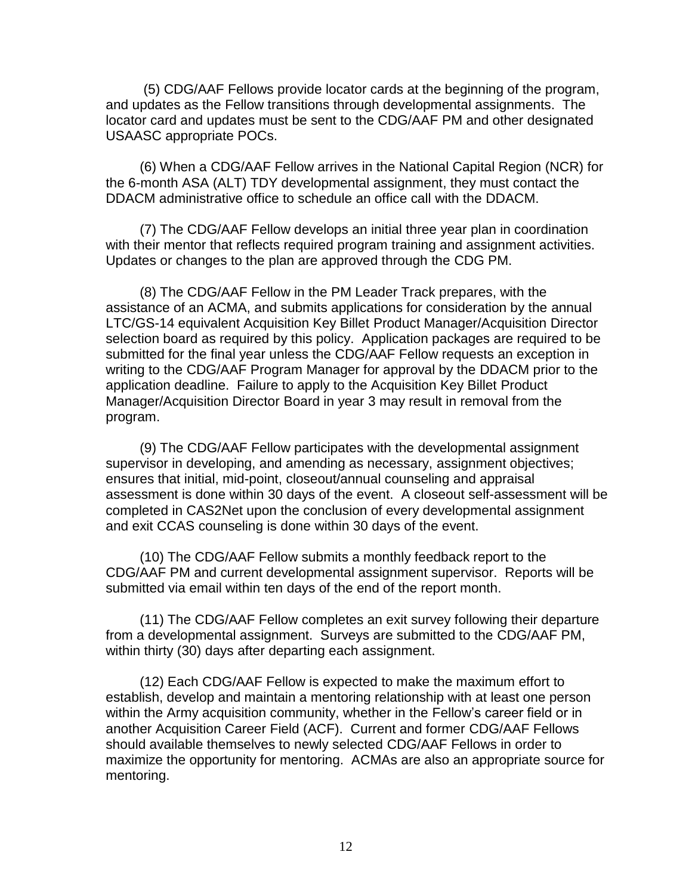(5) CDG/AAF Fellows provide locator cards at the beginning of the program, and updates as the Fellow transitions through developmental assignments. The locator card and updates must be sent to the CDG/AAF PM and other designated USAASC appropriate POCs.

 (6) When a CDG/AAF Fellow arrives in the National Capital Region (NCR) for the 6-month ASA (ALT) TDY developmental assignment, they must contact the DDACM administrative office to schedule an office call with the DDACM.

 (7) The CDG/AAF Fellow develops an initial three year plan in coordination with their mentor that reflects required program training and assignment activities. Updates or changes to the plan are approved through the CDG PM.

 (8) The CDG/AAF Fellow in the PM Leader Track prepares, with the assistance of an ACMA, and submits applications for consideration by the annual LTC/GS-14 equivalent Acquisition Key Billet Product Manager/Acquisition Director selection board as required by this policy. Application packages are required to be submitted for the final year unless the CDG/AAF Fellow requests an exception in writing to the CDG/AAF Program Manager for approval by the DDACM prior to the application deadline. Failure to apply to the Acquisition Key Billet Product Manager/Acquisition Director Board in year 3 may result in removal from the program.

 (9) The CDG/AAF Fellow participates with the developmental assignment supervisor in developing, and amending as necessary, assignment objectives; ensures that initial, mid-point, closeout/annual counseling and appraisal assessment is done within 30 days of the event. A closeout self-assessment will be completed in CAS2Net upon the conclusion of every developmental assignment and exit CCAS counseling is done within 30 days of the event.

 (10) The CDG/AAF Fellow submits a monthly feedback report to the CDG/AAF PM and current developmental assignment supervisor. Reports will be submitted via email within ten days of the end of the report month.

 (11) The CDG/AAF Fellow completes an exit survey following their departure from a developmental assignment. Surveys are submitted to the CDG/AAF PM, within thirty (30) days after departing each assignment.

 (12) Each CDG/AAF Fellow is expected to make the maximum effort to establish, develop and maintain a mentoring relationship with at least one person within the Army acquisition community, whether in the Fellow's career field or in another Acquisition Career Field (ACF). Current and former CDG/AAF Fellows should available themselves to newly selected CDG/AAF Fellows in order to maximize the opportunity for mentoring. ACMAs are also an appropriate source for mentoring.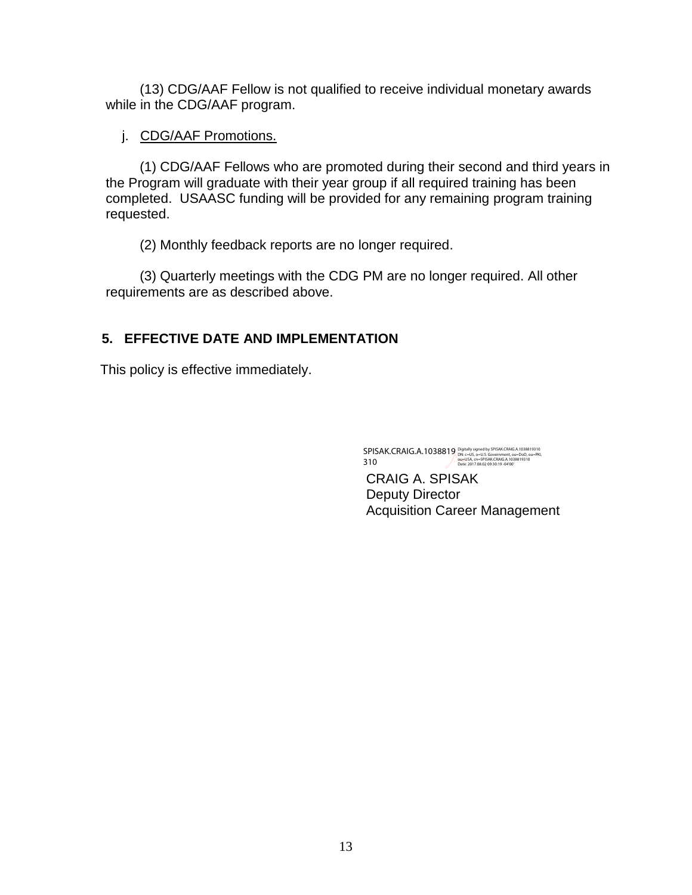(13) CDG/AAF Fellow is not qualified to receive individual monetary awards while in the CDG/AAF program.

# j. CDG/AAF Promotions.

 (1) CDG/AAF Fellows who are promoted during their second and third years in the Program will graduate with their year group if all required training has been completed. USAASC funding will be provided for any remaining program training requested.

(2) Monthly feedback reports are no longer required.

 (3) Quarterly meetings with the CDG PM are no longer required. All other requirements are as described above.

# **5. EFFECTIVE DATE AND IMPLEMENTATION**

This policy is effective immediately.

SPISAK.CRAIG.A.1038819 310 Digitally signed by SPISAK.CRAIG.A.1038819310<br>DN: c=US, o=U.S. Government, ou=DoD, ou=PKI,<br>ou=USA, cn=SPISAK.CRAIG.A.1038819310<br>Date: 2017.08.02 09:30:19 -04'00'

CRAIG A. SPISAK Deputy Director Acquisition Career Management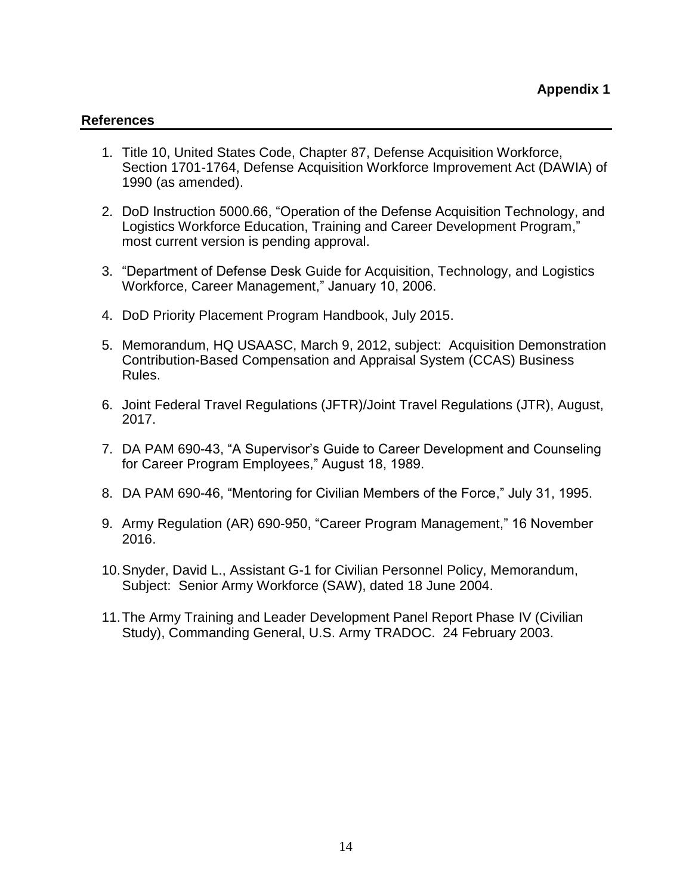#### **References**

- 1. Title 10, United States Code, Chapter 87, Defense Acquisition Workforce, Section 1701-1764, Defense Acquisition Workforce Improvement Act (DAWIA) of 1990 (as amended).
- 2. DoD Instruction 5000.66, "Operation of the Defense Acquisition Technology, and Logistics Workforce Education, Training and Career Development Program," most current version is pending approval.
- 3. "Department of Defense Desk Guide for Acquisition, Technology, and Logistics Workforce, Career Management," January 10, 2006.
- 4. DoD Priority Placement Program Handbook, July 2015.
- 5. Memorandum, HQ USAASC, March 9, 2012, subject: Acquisition Demonstration Contribution-Based Compensation and Appraisal System (CCAS) Business Rules.
- 6. Joint Federal Travel Regulations (JFTR)/Joint Travel Regulations (JTR), August, 2017.
- 7. DA PAM 690-43, "A Supervisor's Guide to Career Development and Counseling for Career Program Employees," August 18, 1989.
- 8. DA PAM 690-46, "Mentoring for Civilian Members of the Force," July 31, 1995.
- 9. Army Regulation (AR) 690-950, "Career Program Management," 16 November 2016.
- 10.Snyder, David L., Assistant G-1 for Civilian Personnel Policy, Memorandum, Subject: Senior Army Workforce (SAW), dated 18 June 2004.
- 11.The Army Training and Leader Development Panel Report Phase IV (Civilian Study), Commanding General, U.S. Army TRADOC. 24 February 2003.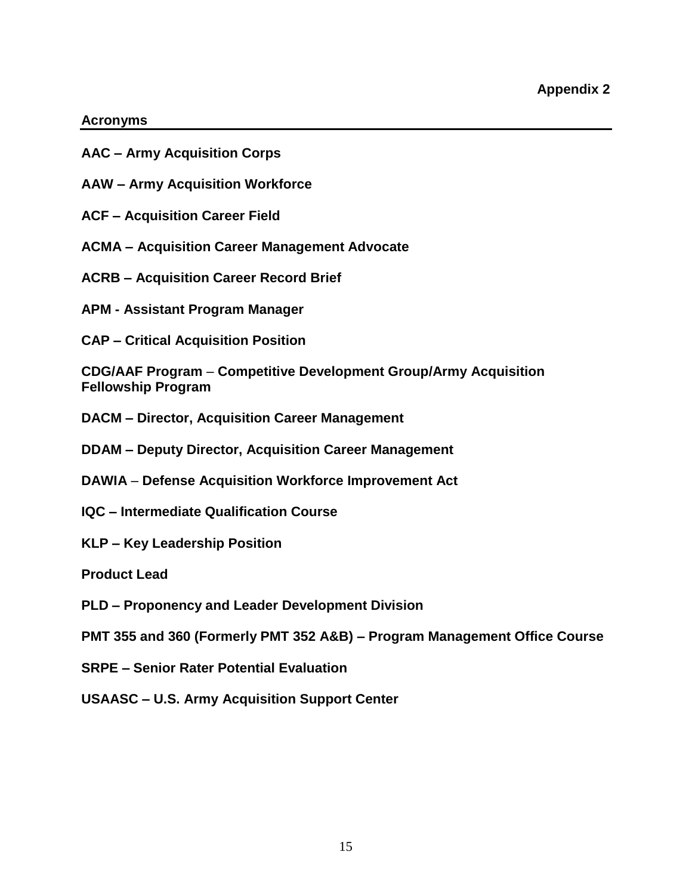#### **Acronyms**

- **AAC – Army Acquisition Corps**
- **AAW – Army Acquisition Workforce**
- **ACF – Acquisition Career Field**
- **ACMA – Acquisition Career Management Advocate**
- **ACRB – Acquisition Career Record Brief**
- **APM - Assistant Program Manager**
- **CAP – Critical Acquisition Position**

**CDG/AAF Program** – **Competitive Development Group/Army Acquisition Fellowship Program**

- **DACM – Director, Acquisition Career Management**
- **DDAM – Deputy Director, Acquisition Career Management**
- **DAWIA Defense Acquisition Workforce Improvement Act**
- **IQC – Intermediate Qualification Course**
- **KLP – Key Leadership Position**
- **Product Lead**
- **PLD – Proponency and Leader Development Division**
- **PMT 355 and 360 (Formerly PMT 352 A&B) – Program Management Office Course**
- **SRPE – Senior Rater Potential Evaluation**
- **USAASC – U.S. Army Acquisition Support Center**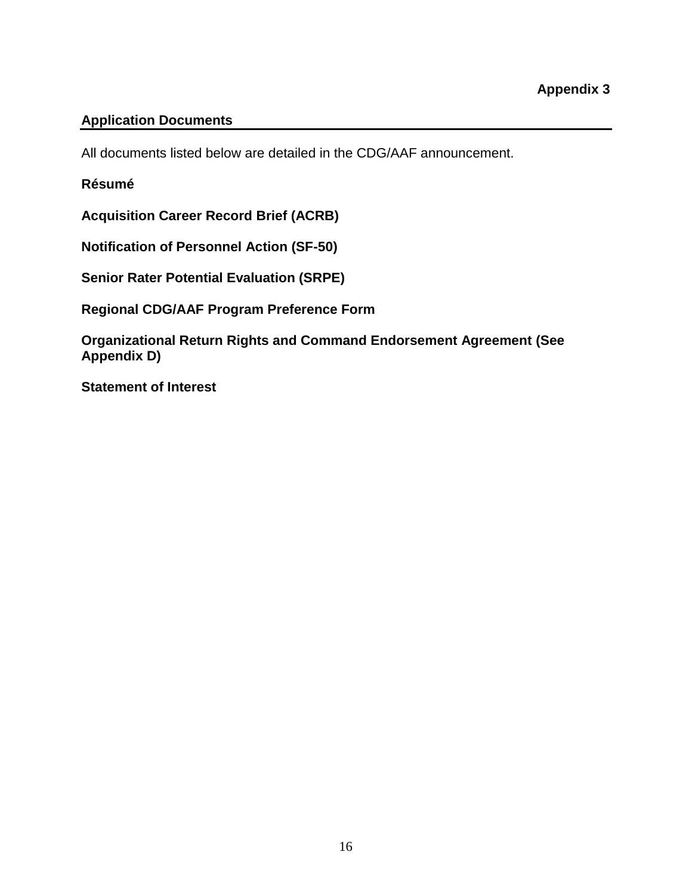# **Application Documents**

All documents listed below are detailed in the CDG/AAF announcement.

### **Résumé**

**Acquisition Career Record Brief (ACRB)**

**Notification of Personnel Action (SF-50)**

**Senior Rater Potential Evaluation (SRPE)** 

**Regional CDG/AAF Program Preference Form**

**Organizational Return Rights and Command Endorsement Agreement (See Appendix D)**

**Statement of Interest**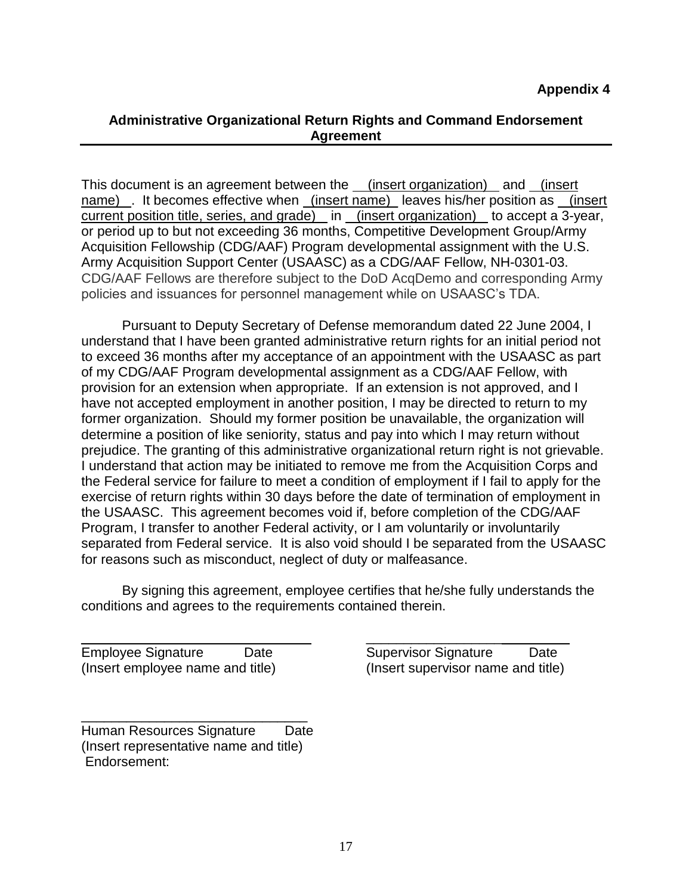### **Administrative Organizational Return Rights and Command Endorsement Agreement**

This document is an agreement between the *(insert organization)* and *(insert* name) . It becomes effective when (insert name) leaves his/her position as (insert current position title, series, and grade) in (insert organization) to accept a 3-year, or period up to but not exceeding 36 months, Competitive Development Group/Army Acquisition Fellowship (CDG/AAF) Program developmental assignment with the U.S. Army Acquisition Support Center (USAASC) as a CDG/AAF Fellow, NH-0301-03. CDG/AAF Fellows are therefore subject to the DoD AcqDemo and corresponding Army policies and issuances for personnel management while on USAASC's TDA.

Pursuant to Deputy Secretary of Defense memorandum dated 22 June 2004, I understand that I have been granted administrative return rights for an initial period not to exceed 36 months after my acceptance of an appointment with the USAASC as part of my CDG/AAF Program developmental assignment as a CDG/AAF Fellow, with provision for an extension when appropriate. If an extension is not approved, and I have not accepted employment in another position, I may be directed to return to my former organization. Should my former position be unavailable, the organization will determine a position of like seniority, status and pay into which I may return without prejudice. The granting of this administrative organizational return right is not grievable. I understand that action may be initiated to remove me from the Acquisition Corps and the Federal service for failure to meet a condition of employment if I fail to apply for the exercise of return rights within 30 days before the date of termination of employment in the USAASC. This agreement becomes void if, before completion of the CDG/AAF Program, I transfer to another Federal activity, or I am voluntarily or involuntarily separated from Federal service. It is also void should I be separated from the USAASC for reasons such as misconduct, neglect of duty or malfeasance.

By signing this agreement, employee certifies that he/she fully understands the conditions and agrees to the requirements contained therein.

Employee Signature Date Supervisor Signature Date

\_\_\_\_\_\_\_\_\_\_\_\_\_\_\_\_\_\_\_\_\_\_\_\_\_\_\_\_\_\_ Human Resources Signature Date (Insert representative name and title) Endorsement:

 $\frac{1}{2}$  ,  $\frac{1}{2}$  ,  $\frac{1}{2}$  ,  $\frac{1}{2}$  ,  $\frac{1}{2}$  ,  $\frac{1}{2}$  ,  $\frac{1}{2}$  ,  $\frac{1}{2}$  ,  $\frac{1}{2}$  ,  $\frac{1}{2}$  ,  $\frac{1}{2}$  ,  $\frac{1}{2}$  ,  $\frac{1}{2}$  ,  $\frac{1}{2}$  ,  $\frac{1}{2}$  ,  $\frac{1}{2}$  ,  $\frac{1}{2}$  ,  $\frac{1}{2}$  ,  $\frac{1$ (Insert employee name and title) (Insert supervisor name and title)